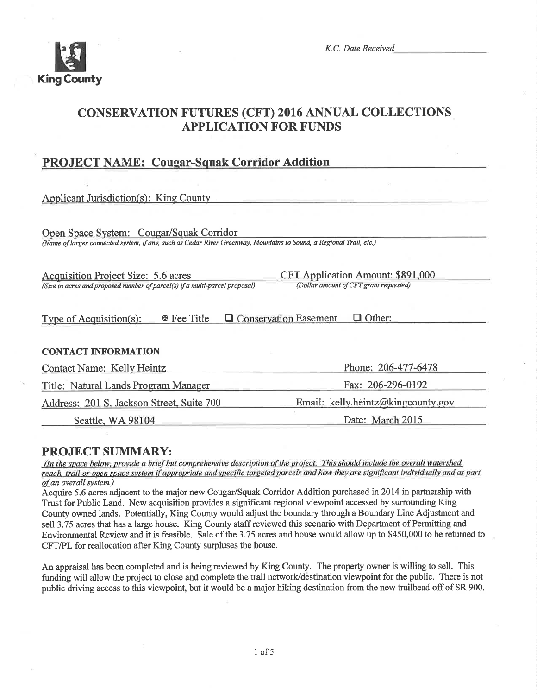

K.C. Date Received

# CONSERVATTON FUTURES (CFT) 2016 ANNUAL COLLECTTONS **APPLICATION FOR FUNDS**

# **PROJECT NAME: Cougar-Squak Corridor Addition**

| <b>Applicant Jurisdiction(s): King County</b>                                                                       |                                               |
|---------------------------------------------------------------------------------------------------------------------|-----------------------------------------------|
|                                                                                                                     |                                               |
| Open Space System: Cougar/Squak Corridor                                                                            |                                               |
| (Name of larger connected system, if any, such as Cedar River Greenway, Mountains to Sound, a Regional Trail, etc.) |                                               |
|                                                                                                                     |                                               |
| <b>Acquisition Project Size: 5.6 acres</b>                                                                          | <b>CFT Application Amount: \$891,000</b>      |
| (Size in acres and proposed number of parcel(s) if a multi-parcel proposal)                                         | (Dollar amount of CFT grant requested)        |
|                                                                                                                     |                                               |
| <b>⊕</b> Fee Title<br>Type of Acquisition(s):                                                                       | $\Box$ Other:<br>$\Box$ Conservation Easement |
|                                                                                                                     |                                               |
| <b>CONTACT INFORMATION</b>                                                                                          |                                               |
| Contact Name: Kelly Heintz                                                                                          | Phone: 206-477-6478                           |
| Title: Natural Lands Program Manager                                                                                | Fax: 206-296-0192                             |
| Address: 201 S. Jackson Street, Suite 700                                                                           | Email: kelly.heintz@kingcounty.gov            |
| Seattle, WA 98104                                                                                                   | Date: March 2015                              |

**PROJECT SUMMARY:**<br>(In the space below, provide a brief but comprehensive description of the project. This should include the overall watershed, reach, trail or open space system if appropriate and specific targeted parcels and how they are significant individually and as part of øn overall svstem..)

Acquire 5.6 acres adjacent to the major new Cougar/Squak Corridor Addition purchased in 2014 in partnership with Trust for Public Land. New acquisition provides a significant regional viewpoint accessed by sunounding King County owned lands. Potentially, King County would adjust the boundary through a Boundary Line Adjushnent and sell 3.75 acres that has a large house. King County staff reviewed this scenario with Department of Permitting and Environmental Review and it is feasible. Sale of the 3.75 acres and house would allow up to \$450,000 to be returned to CFT/PL for reallocation after King County surpluses the house.

An appraisal has been completed and is being reviewed by King County. The property owner is willing to sell. This funding will allow the project to close and complete the trail network/destination viewpoint for the public. There is not public driving access to this viewpoint, but it would be a major hiking destination from the new trailhead off of SR 900.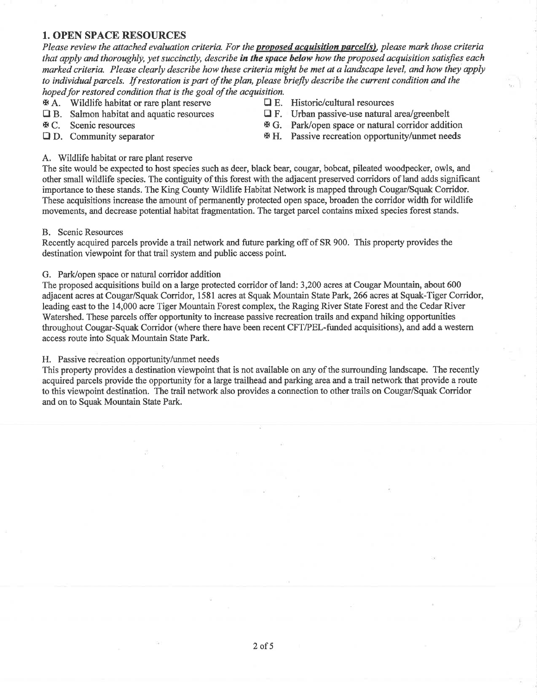# 1. OPEN SPACE RESOURCES

Please review the attached evaluation criteria. For the **proposed acquisition parcel(s)**, please mark those criteria that apply and thoroughly, yet succinctly, describe in the space below how the proposed acquisition satisfies each marked criteria. Please clearly describe how these criteria might be met at a landscape level, and how they apply to individual parcels. If restoration is part of the plan, please briefly describe the current condition and the hoped for restored condition that is the goal of the acquisition.

- $A$ . Wildlife habitat or rare plant reserve  $\Box$  E. Historic/cultural resources
- 
- 
- 
- 
- **the B.** Salmon habitat and aquatic resources **the F.** Urban passive-use natural area/greenbelt  $\mathcal{F}$  C. Scenic resources **the G.** Park/open space or natural corridor additional **EXC.** Scenic resources **XG.** Park/open space or natural corridor addition <br> **COM** Community separator **XG.** Passive recreation opportunity/unmet needs
- 

 $H.$  Passive recreation opportunity/unmet needs

A. Wildlife habitat or rare plant reserve

The site would be expected to host species such as deer, black bear, cougar, bobcat, pileated woodpecker, owls, and other small wildlife species. The contiguity of this forest with the adjacent preserved corridors of land adds significant importance to these stands. The King County Wildlife Habitat Network is mapped through Cougar/Squak Corridor. These acquisitions increase the arnount of permanently protected open space, broaden the corridor width for wildlife movements, and decrease potential habitat fragmentation. The target parcel contains mixed species forest stands.

#### B. Scenic Resources

Recentþ acquired parcels provide a trail network and future parking off of SR 900. This properly provides the destination viewpoint for that trail system and public access point.

#### G. Park/open space or natural corridor addition

The proposed acquisitions build on a large protected corridor of land: 3,200 acres at Cougar Mountain, about 600 adjacent acres at Cougar/Squak Corridor, 1581 acres at Squak Mountain State Park, 266 acres at Squak-Tiger Corridor, leading east to the 14,000 acre Tiger Mountain Forest complex, the Raging River State Forest and the Cedar River Watershed. These parcels offer opportunity to increase passive recreation trails and expand hiking opportunities throughout Cougar-Squak Conidor (where there have been recent CFT/PEL-ñmded acquisitions), and add a westem access route into Squak Mountain State Park.

#### H. Passive recreation opportunity/unmet needs

This property provides a destination viewpoint that is not available on any of the surrounding landscape. The recently acquired parcels provide the opportunity for alarge trailhead and parking area and a trail network that provide a route to this viewpoint destination. The trail network also provides a connection to other trails on Cougar/Squak Corridor and on to Squak Mountain State Park.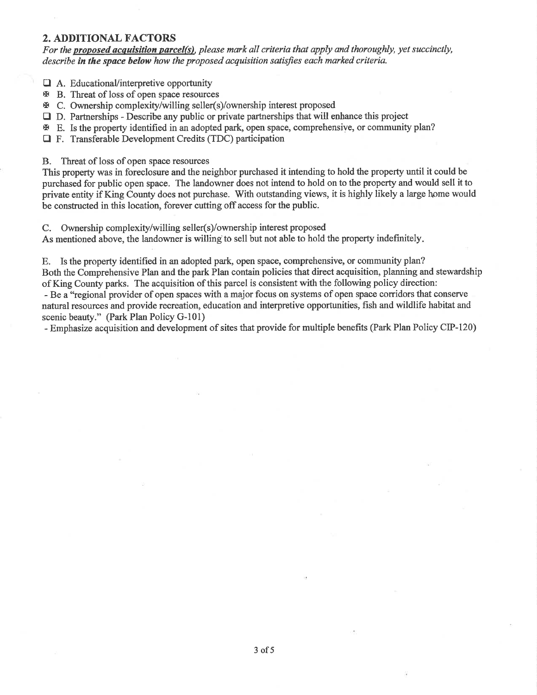# 2. ADDITIONAL FACTORS

For the proposed acquisition parcel(s), please mark all criteria that apply and thoroughly, yet succinctly, describe in the space below how the proposed acquisition satisfies each marked criteria.

 $\Box$  A. Educational/interpretive opportunity<br>  $\mathbf{B}$  B. Threat of loss of open space resourc

- $\mathbb F$  B. Threat of loss of open space resources
- $\overline{\mathbf{r}}$  B. Tilreat of loss of open space resources<br>  $\overline{\mathbf{r}}$  C. Ownership complexity/willing seller(s)/ownership interest proposed
- □ D. Partnerships Describe any public or private partnerships that will enhance this project<br>
<sup>★</sup> E. Is the property identified in an adopted park, open space, comprehensive, or community
- $\mathbb{F}$  E. Is the property identified in an adopted park, open space, comprehensive, or community plan?
- **T** F. Transferable Development Credits (TDC) participation

B. Threat of loss of open space resources

This property was in foreclosure and the neighbor purchased it intending to hold the property until it could be purchased for public open space. The landowner does not intend to hold on to the property and would sell it to private entity if King County does not purchase. With outstanding views, it is highly likely a large home would be constructed in this location, forever cutting off access for the public.

C. Ownership complexity/willing seller(s)/ownership interest proposed

As mentioned above, the landowner is willing to sell but not able to hold the property indefinitely.

E. Is the properly identified in an adopted park, open space, comprehensive, or community plan? Both the Comprehensive Plan and the park Plan contain policies that direct acquisition, planning and stewardship of King County parks. The acquisition of this parcel is consistent with the following policy direction:

- Be a "regional provider of open spaces with a major focus on systems of open space corridors that conserve natural resources and provide recreation, education and interpretive opportunities, fish and wildlife habitat and scenic beauty." (Park Plan Policy G-101)

- Emphasize acquisition and development of sites that provide for multiple benefits (Park Plan Policy CIP-120)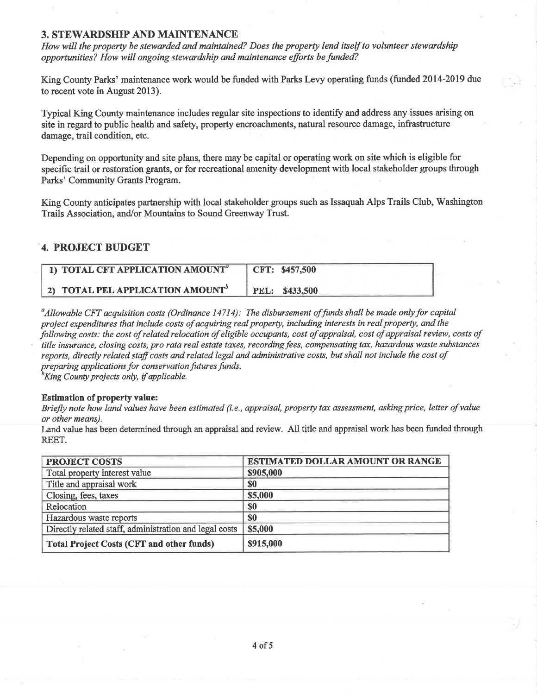# 3. STEWARDSHIP AND MAINTENANCE

How will the property be stewarded and maintained? Does the property lend itself to volunteer stewardship opportunities? How will ongoing stewardship and maintenance efforts be funded?

King County Parks' maintenance work would be funded with Parks Levy operating funds (funded 2014-2019 due to recent vote in August 2013).

Typical King County maintenance includes regular site inspections to identify and address any issues arising on siæ in regard to public health and safety, properly encroachments, natural resource damage, infrastructure damage, trail condition, etc.

Depending on opportumty and site plans, there may be capital or operating work on site which is eligible for specific trail or restoration grants, or for recreational amenity development with local stakeholder groups through Parks' Community Grants Program.

King County anticipates partnership with local stakeholder groups such as Issaquah Alps Trails Club, Washington Trails Association, and/or Mountains to Sound Greenway Trust.

# 4. PROJECT BUDGET

| 1) TOTAL CFT APPLICATION AMOUNT <sup>"</sup> | CFT: \$457,500    |
|----------------------------------------------|-------------------|
| 2) TOTAL PEL APPLICATION AMOUNT <sup>®</sup> | \$433,500<br>PEL: |

<sup>a</sup>Allowable CFT acquisition costs (Ordinance 14714): The disbursement of funds shall be made only for capital project expenditures that include costs of acquiring real property, incfuding interests in real property, and the following costs: the cost of related relocation of eligible occupants, cost of appraisal, cost of appraisal review, costs of title insurance, closing costs, pro rata real estate taxes, recording fees, compensating tax, hazardous waste substances reports, directly related staff costs and related legal and administrative costs, but shall not include the cost of preparing applications for conservation futures funds.<br><sup>b</sup>King County projects only, if applicable.

#### Estimation of property value:

Briefly note how land values have been estimated (i.e., appraisal, property tax assessment, asking price, letter of value or other means).

Land value has been determined through an appraisal and review. All title and appraisal work has been funded through REET.

| <b>PROJECT COSTS</b>                                   | <b>ESTIMATED DOLLAR AMOUNT OR RANGE</b> |
|--------------------------------------------------------|-----------------------------------------|
| Total property interest value                          | \$905,000                               |
| Title and appraisal work                               | <b>SO</b>                               |
| Closing, fees, taxes                                   | \$5,000                                 |
| Relocation                                             | \$0                                     |
| Hazardous waste reports                                | <b>SO</b>                               |
| Directly related staff, administration and legal costs | \$5,000                                 |
| Total Project Costs (CFT and other funds)              | \$915,000                               |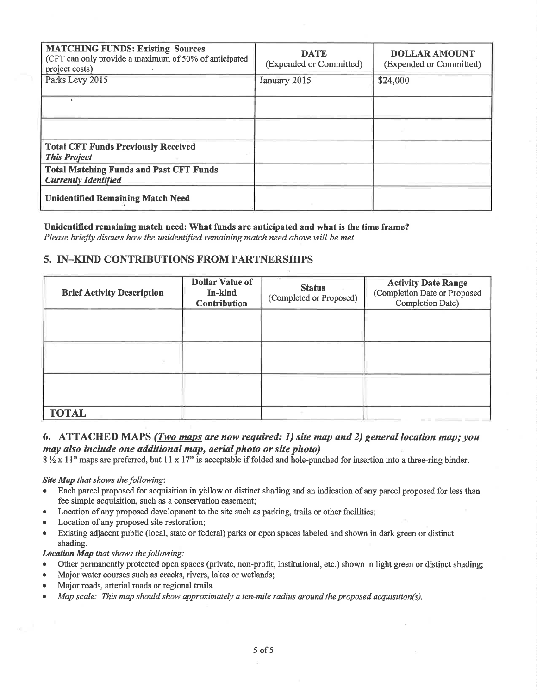| <b>MATCHING FUNDS: Existing Sources</b><br>(CFT can only provide a maximum of 50% of anticipated<br>project costs)<br>Parks Levy 2015 | <b>DATE</b><br>(Expended or Committed)<br>January 2015 | <b>DOLLAR AMOUNT</b><br>(Expended or Committed)<br>\$24,000 |
|---------------------------------------------------------------------------------------------------------------------------------------|--------------------------------------------------------|-------------------------------------------------------------|
|                                                                                                                                       |                                                        |                                                             |
|                                                                                                                                       |                                                        |                                                             |
| <b>Total CFT Funds Previously Received</b><br><b>This Project</b>                                                                     |                                                        |                                                             |
| <b>Total Matching Funds and Past CFT Funds</b><br><b>Currently Identified</b>                                                         |                                                        |                                                             |
| <b>Unidentified Remaining Match Need</b>                                                                                              |                                                        |                                                             |

# Unidentified remaining match need: What funds are anticipated and what is the time frame?

Please briefly discuss how the unidentified remaining match need above will be met.

# 5. IN-KIND CONTRIBUTIONS FROM PARTNERSHIPS

| <b>Brief Activity Description</b> | <b>Dollar Value of</b><br>In-kind<br><b>Contribution</b> | <b>Status</b><br>(Completed or Proposed) | <b>Activity Date Range</b><br>(Completion Date or Proposed<br>Completion Date) |
|-----------------------------------|----------------------------------------------------------|------------------------------------------|--------------------------------------------------------------------------------|
|                                   |                                                          |                                          |                                                                                |
|                                   |                                                          |                                          |                                                                                |
|                                   |                                                          |                                          |                                                                                |
| <b>TOTAL</b>                      |                                                          |                                          |                                                                                |

# 6. ATTACHED MAPS (Two maps are now required: 1) site map and 2) general location map; you may also include one additional map, aerial photo or site photo)

 $8\frac{1}{2} \times 11$ " maps are preferred, but 11 x 17" is acceptable if folded and hole-punched for insertion into a three-ring binder.

## Site Map that shows the following:

- Each parcel proposed for acquisition in yellow or distinct shading and an indication of any parcel proposed for less than fee simple acquisition, such as a conservation easement;
- Location of any proposed development to the site such as parking, trails or other facilities;
- Location of any proposed site restoration;
- Existing adjacent public (local, state or federal) parks or open spaces labeled and shown in dark green or distinct  $\bullet$ shading.

## Location Map that shows the following:

- Other permanently protected open spaces (private, non-profit, institutional, etc.) shown in light green or distinct shading;
- Major water courses such as creeks, rivers, lakes or wetlands;
- Major roads, arterial roads or regional trails.
- Map scale: This map should show approximately a ten-mile radius around the proposed acquisition(s).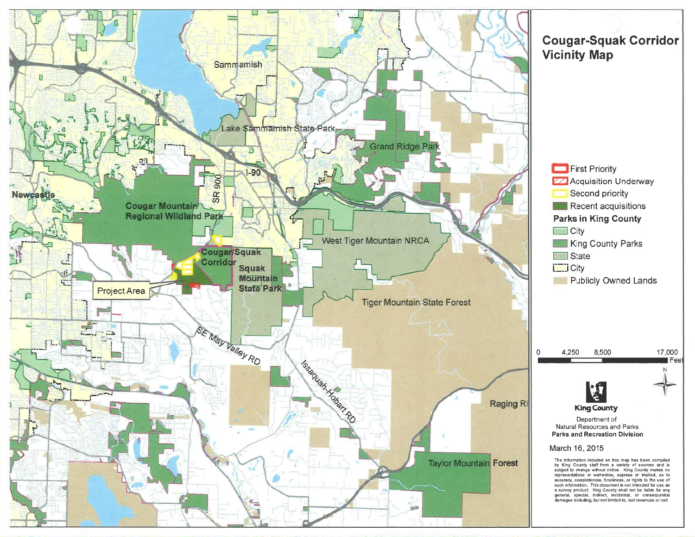